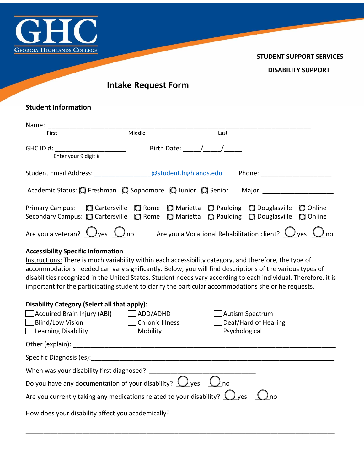

**STUDENT SUPPORT SERVICES** 

**DISABILITY SUPPORT** 

**Intake Request Form** 

l

## **Student Information**

l

| Name:                                                                                                                                                                                                                  |        |                                                                                                                                                                                                                                                                                                                                                                                                                     |      |                                 |  |
|------------------------------------------------------------------------------------------------------------------------------------------------------------------------------------------------------------------------|--------|---------------------------------------------------------------------------------------------------------------------------------------------------------------------------------------------------------------------------------------------------------------------------------------------------------------------------------------------------------------------------------------------------------------------|------|---------------------------------|--|
| First                                                                                                                                                                                                                  | Middle |                                                                                                                                                                                                                                                                                                                                                                                                                     | Last |                                 |  |
| GHC ID #: _____________________<br>Enter your 9 digit #                                                                                                                                                                |        | Birth Date: $\frac{1}{\sqrt{1-\frac{1}{2}}}\frac{1}{\sqrt{1-\frac{1}{2}}}\frac{1}{\sqrt{1-\frac{1}{2}}}\frac{1}{\sqrt{1-\frac{1}{2}}}\frac{1}{\sqrt{1-\frac{1}{2}}}\frac{1}{\sqrt{1-\frac{1}{2}}}\frac{1}{\sqrt{1-\frac{1}{2}}}\frac{1}{\sqrt{1-\frac{1}{2}}}\frac{1}{\sqrt{1-\frac{1}{2}}}\frac{1}{\sqrt{1-\frac{1}{2}}}\frac{1}{\sqrt{1-\frac{1}{2}}}\frac{1}{\sqrt{1-\frac{1}{2}}}\frac{1}{\sqrt{1-\frac{1}{2}}$ |      |                                 |  |
| Student Email Address: and @student.highlands.edu                                                                                                                                                                      |        |                                                                                                                                                                                                                                                                                                                                                                                                                     |      |                                 |  |
| Academic Status: Q Freshman Q Sophomore Q Junior Q Senior                                                                                                                                                              |        |                                                                                                                                                                                                                                                                                                                                                                                                                     |      | Major: ________________________ |  |
| Primary Campus: $\Box$ Cartersville $\Box$ Rome $\Box$ Marietta $\Box$ Paulding $\Box$ Douglasville $\Box$ Online<br>Secondary Campus: [C] Cartersville [C] Rome [C] Marietta [C] Paulding [C] Douglasville [C] Online |        |                                                                                                                                                                                                                                                                                                                                                                                                                     |      |                                 |  |
| Are you a veteran? $\bigcirc$ yes $\bigcirc$ no Are you a Vocational Rehabilitation client? $\bigcirc$ yes $\bigcirc$ no                                                                                               |        |                                                                                                                                                                                                                                                                                                                                                                                                                     |      |                                 |  |

## **Accessibility Specific Information**

 Instructions: There is much variability within each accessibility category, and therefore, the type of accommodations needed can vary significantly. Below, you will find descriptions of the various types of disabilities recognized in the United States. Student needs vary according to each individual. Therefore, it is important for the participating student to clarify the particular accommodations she or he requests.

| Disability Category (Select all that apply):                                                      |                        |                      |  |  |  |  |  |
|---------------------------------------------------------------------------------------------------|------------------------|----------------------|--|--|--|--|--|
| $\Box$ Acquired Brain Injury (ABI)                                                                | ADD/ADHD               | Autism Spectrum      |  |  |  |  |  |
| <b>Blind/Low Vision</b>                                                                           | <b>Chronic Illness</b> | Deaf/Hard of Hearing |  |  |  |  |  |
| <b>Learning Disability</b>                                                                        | Mobility               | Psychological        |  |  |  |  |  |
| Other (explain):                                                                                  |                        |                      |  |  |  |  |  |
| Specific Diagnosis (es):                                                                          |                        |                      |  |  |  |  |  |
| When was your disability first diagnosed?                                                         |                        |                      |  |  |  |  |  |
| Do you have any documentation of your disability? $\bigcirc$ yes $\bigcirc$ no                    |                        |                      |  |  |  |  |  |
| Are you currently taking any medications related to your disability? $\bigcirc$ yes $\bigcirc$ no |                        |                      |  |  |  |  |  |
| How does your disability affect you academically?                                                 |                        |                      |  |  |  |  |  |

\_\_\_\_\_\_\_\_\_\_\_\_\_\_\_\_\_\_\_\_\_\_\_\_\_\_\_\_\_\_\_\_\_\_\_\_\_\_\_\_\_\_\_\_\_\_\_\_\_\_\_\_\_\_\_\_\_\_\_\_\_\_\_\_\_\_\_\_\_\_\_\_\_\_\_\_\_\_\_\_\_\_\_\_\_\_\_